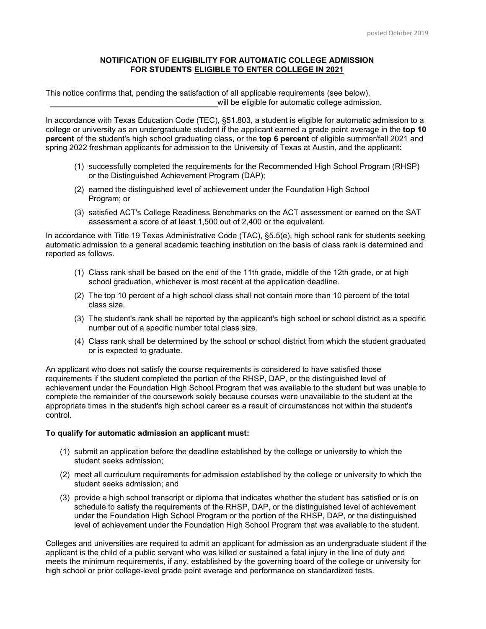## **NOTIFICATION OF ELIGIBILITY FOR AUTOMATIC COLLEGE ADMISSION FOR STUDENTS ELIGIBLE TO ENTER COLLEGE IN 2021**

This notice confirms that, pending the satisfaction of all applicable requirements (see below), will be eligible for automatic college admission.

In accordance with Texas Education Code (TEC), §51.803, a student is eligible for automatic admission to a college or university as an undergraduate student if the applicant earned a grade point average in the **top 10 percent** of the student's high school graduating class, or the **top 6 percent** of eligible summer/fall 2021 and spring 2022 freshman applicants for admission to the University of Texas at Austin, and the applicant:

- (1) successfully completed the requirements for the Recommended High School Program (RHSP) or the Distinguished Achievement Program (DAP);
- (2) earned the distinguished level of achievement under the Foundation High School Program; or
- (3) satisfied ACT's College Readiness Benchmarks on the ACT assessment or earned on the SAT assessment a score of at least 1,500 out of 2,400 or the equivalent.

In accordance with Title 19 Texas Administrative Code (TAC), §5.5(e), high school rank for students seeking automatic admission to a general academic teaching institution on the basis of class rank is determined and reported as follows.

- (1) Class rank shall be based on the end of the 11th grade, middle of the 12th grade, or at high school graduation, whichever is most recent at the application deadline.
- (2) The top 10 percent of a high school class shall not contain more than 10 percent of the total class size.
- (3) The student's rank shall be reported by the applicant's high school or school district as a specific number out of a specific number total class size.
- (4) Class rank shall be determined by the school or school district from which the student graduated or is expected to graduate.

An applicant who does not satisfy the course requirements is considered to have satisfied those requirements if the student completed the portion of the RHSP, DAP, or the distinguished level of achievement under the Foundation High School Program that was available to the student but was unable to complete the remainder of the coursework solely because courses were unavailable to the student at the appropriate times in the student's high school career as a result of circumstances not within the student's control.

## **To qualify for automatic admission an applicant must:**

- (1) submit an application before the deadline established by the college or university to which the student seeks admission;
- (2) meet all curriculum requirements for admission established by the college or university to which the student seeks admission; and
- (3) provide a high school transcript or diploma that indicates whether the student has satisfied or is on schedule to satisfy the requirements of the RHSP, DAP, or the distinguished level of achievement under the Foundation High School Program or the portion of the RHSP, DAP, or the distinguished level of achievement under the Foundation High School Program that was available to the student.

Colleges and universities are required to admit an applicant for admission as an undergraduate student if the applicant is the child of a public servant who was killed or sustained a fatal injury in the line of duty and meets the minimum requirements, if any, established by the governing board of the college or university for high school or prior college-level grade point average and performance on standardized tests.